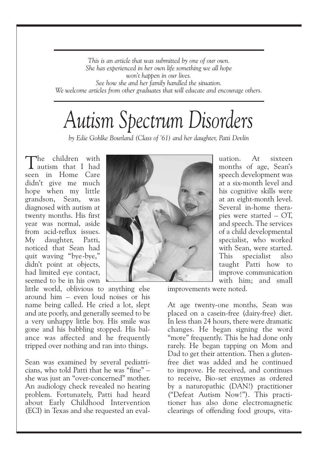*This is an article that was submitted by one of our own. She has experienced in her own life something we all hope won't happen in our lives. See how she and her family handled the situation. We welcome articles from other graduates that will educate and encourage others.*

## *Autism Spectrum Disorders*

*by Edie Gohlke Bourland (Class of '61) and her daughter, Patti Devlin*

The children with<br>Tautism that I had seen in Home Care didn't give me much hope when my little grandson, Sean, was diagnosed with autism at twenty months. His first year was normal, aside from acid-reflux issues. My daughter, Patti, noticed that Sean had quit waving "bye-bye," didn't point at objects, had limited eye contact, seemed to be in his own

little world, oblivious to anything else around him – even loud noises or his name being called. He cried a lot, slept and ate poorly, and generally seemed to be a very unhappy little boy. His smile was gone and his babbling stopped. His balance was affected and he frequently tripped over nothing and ran into things.

Sean was examined by several pediatricians, who told Patti that he was "fine" – she was just an "over-concerned" mother. An audiology check revealed no hearing problem. Fortunately, Patti had heard about Early Childhood Intervention (ECI) in Texas and she requested an eval-



uation. At sixteen months of age, Sean's speech development was at a six-month level and his cognitive skills were at an eight-month level. Several in-home therapies were started – OT, and speech. The services of a child developmental specialist, who worked with Sean, were started. This specialist also taught Patti how to improve communication with him; and small

improvements were noted.

At age twenty-one months, Sean was placed on a casein-free (dairy-free) diet. In less than 24 hours, there were dramatic changes. He began signing the word "more" frequently. This he had done only rarely. He began tapping on Mom and Dad to get their attention. Then a glutenfree diet was added and he continued to improve. He received, and continues to receive, Bio-set enzymes as ordered by a naturopathic (DAN!) practitioner ("Defeat Autism Now!"). This practitioner has also done electromagnetic clearings of offending food groups, vita